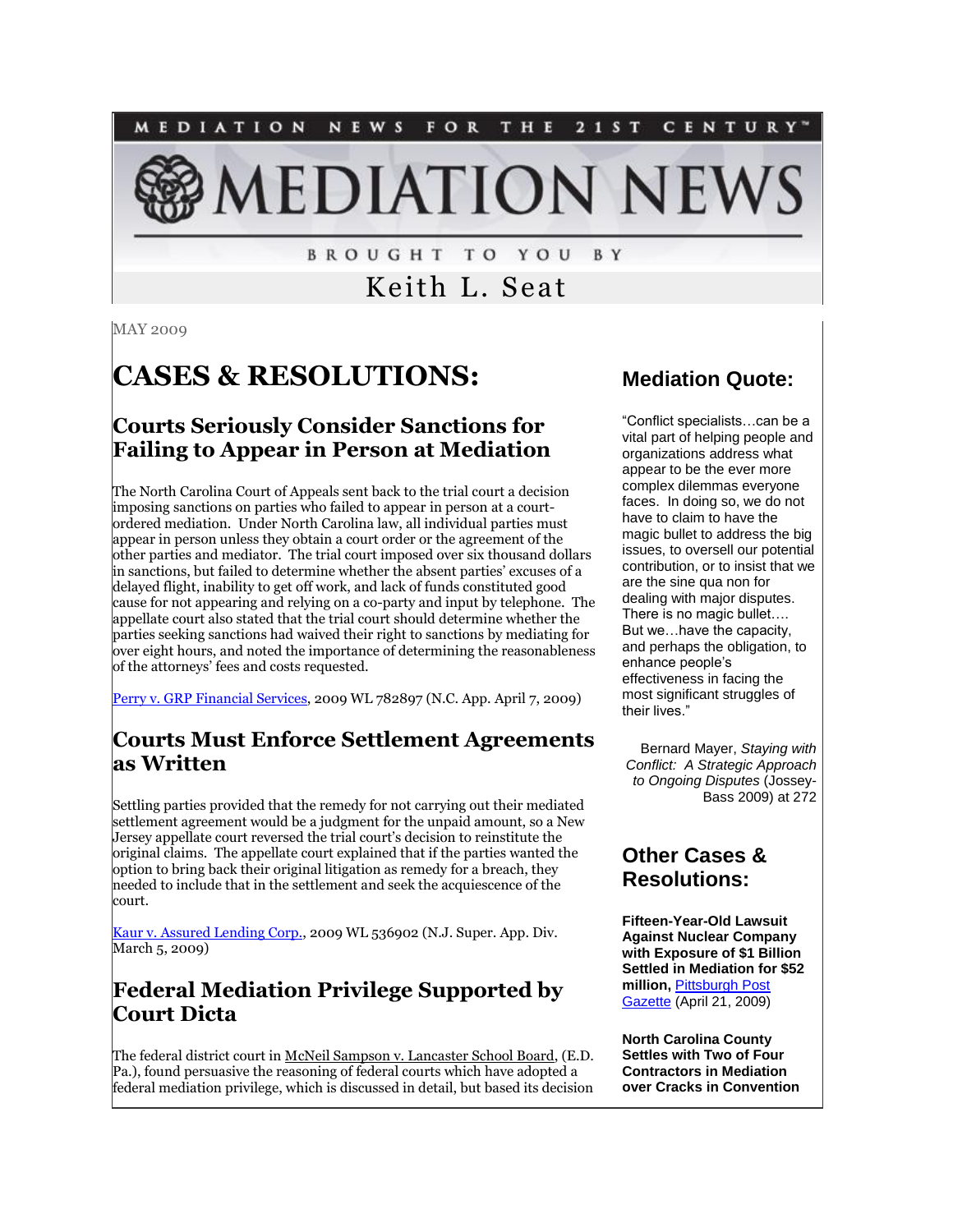

**BROUGHT TO YOU** B Y

## Keith L. Seat

MAY 2009

# **CASES & RESOLUTIONS:**

## **Courts Seriously Consider Sanctions for Failing to Appear in Person at Mediation**

The North Carolina Court of Appeals sent back to the trial court a decision imposing sanctions on parties who failed to appear in person at a courtordered mediation. Under North Carolina law, all individual parties must appear in person unless they obtain a court order or the agreement of the other parties and mediator. The trial court imposed over six thousand dollars in sanctions, but failed to determine whether the absent parties' excuses of a delayed flight, inability to get off work, and lack of funds constituted good cause for not appearing and relying on a co-party and input by telephone. The appellate court also stated that the trial court should determine whether the parties seeking sanctions had waived their right to sanctions by mediating for over eight hours, and noted the importance of determining the reasonableness of the attorneys' fees and costs requested.

[Perry v. GRP Financial Services,](http://www.aoc.state.nc.us/www/public/coa/opinions/2009/080080-1.htm) 2009 WL 782897 (N.C. App. April 7, 2009)

### **Courts Must Enforce Settlement Agreements as Written**

Settling parties provided that the remedy for not carrying out their mediated settlement agreement would be a judgment for the unpaid amount, so a New Jersey appellate court reversed the trial court's decision to reinstitute the original claims. The appellate court explained that if the parties wanted the option to bring back their original litigation as remedy for a breach, they needed to include that in the settlement and seek the acquiescence of the court.

[Kaur v. Assured Lending Corp.,](http://lawlibrary.rutgers.edu/courts/wordperfect/appellate/A6288-07.DOC) 2009 WL 536902 (N.J. Super. App. Div. March 5, 2009)

### **Federal Mediation Privilege Supported by Court Dicta**

The federal district court in McNeil Sampson v. Lancaster School Board, (E.D. Pa.), found persuasive the reasoning of federal courts which have adopted a federal mediation privilege, which is discussed in detail, but based its decision

### **Mediation Quote:**

"Conflict specialists…can be a vital part of helping people and organizations address what appear to be the ever more complex dilemmas everyone faces. In doing so, we do not have to claim to have the magic bullet to address the big issues, to oversell our potential contribution, or to insist that we are the sine qua non for dealing with major disputes. There is no magic bullet…. But we…have the capacity, and perhaps the obligation, to enhance people's effectiveness in facing the most significant struggles of their lives."

Bernard Mayer, *Staying with Conflict: A Strategic Approach to Ongoing Disputes* (Jossey-Bass 2009) at 272

### **Other Cases & Resolutions:**

**Fifteen-Year-Old Lawsuit Against Nuclear Company with Exposure of \$1 Billion Settled in Mediation for \$52 million,** [Pittsburgh Post](http://www.post-gazette.com/pg/09111/964234-114.stm)  [Gazette](http://www.post-gazette.com/pg/09111/964234-114.stm) (April 21, 2009)

**North Carolina County Settles with Two of Four Contractors in Mediation over Cracks in Convention**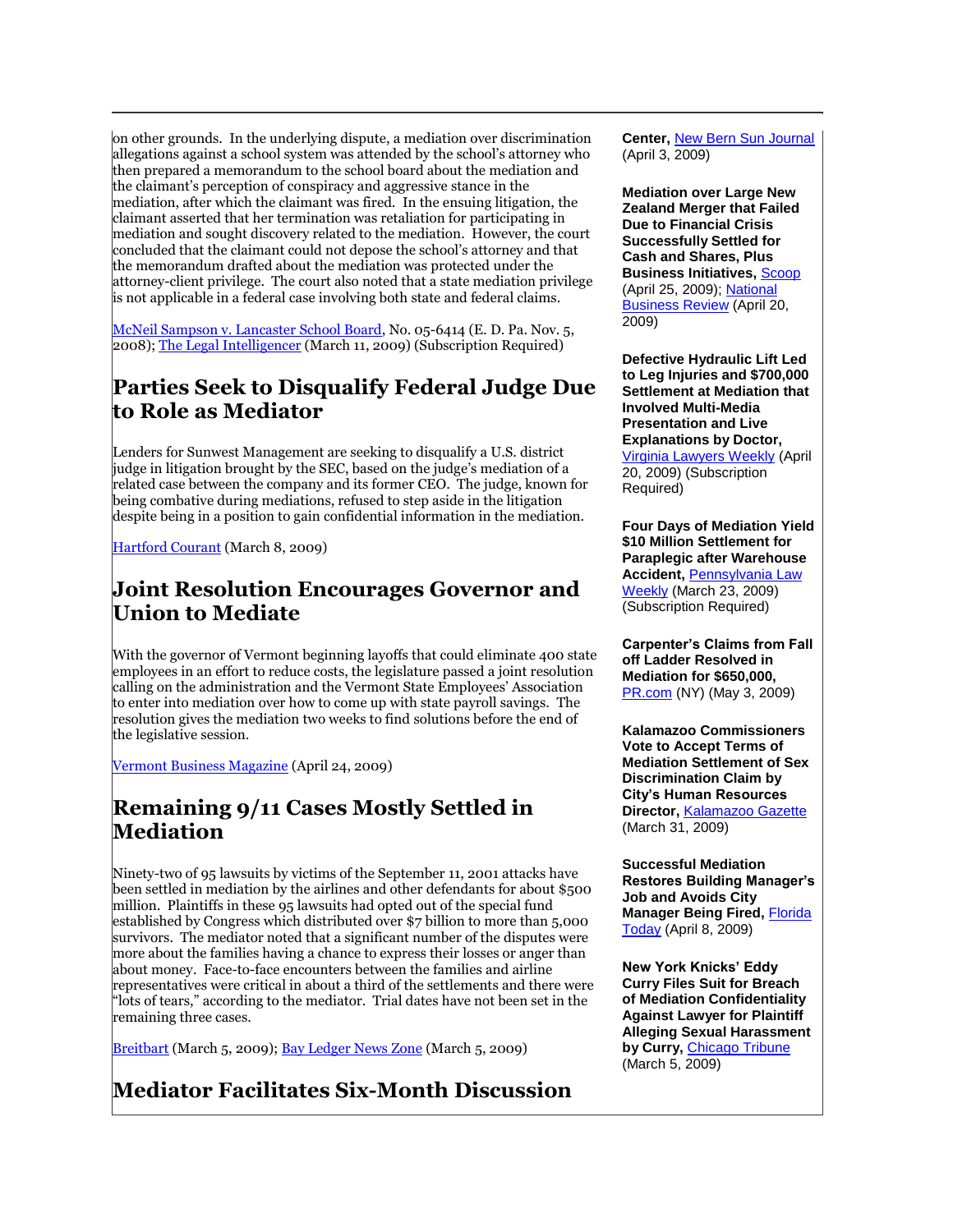on other grounds. In the underlying dispute, a mediation over discrimination allegations against a school system was attended by the school's attorney who then prepared a memorandum to the school board about the mediation and the claimant's perception of conspiracy and aggressive stance in the mediation, after which the claimant was fired. In the ensuing litigation, the claimant asserted that her termination was retaliation for participating in mediation and sought discovery related to the mediation. However, the court concluded that the claimant could not depose the school's attorney and that the memorandum drafted about the mediation was protected under the attorney-client privilege. The court also noted that a state mediation privilege is not applicable in a federal case involving both state and federal claims.

[McNeil Sampson v. Lancaster School Board,](http://www.paed.uscourts.gov/documents/opinions/08D1315P.pdf) No. 05-6414 (E. D. Pa. Nov. 5, 2008)[; The Legal Intelligencer](http://tinyurl.com/c34f7g) (March 11, 2009) (Subscription Required)

### **Parties Seek to Disqualify Federal Judge Due to Role as Mediator**

Lenders for Sunwest Management are seeking to disqualify a U.S. district judge in litigation brought by the SEC, based on the judge's mediation of a related case between the company and its former CEO. The judge, known for being combative during mediations, refused to step aside in the litigation despite being in a position to gain confidential information in the mediation.

[Hartford Courant](http://www.courant.com/news/health/hc-secondlook0308.artmar08,0,3044877,print.story) (March 8, 2009)

#### **Joint Resolution Encourages Governor and Union to Mediate**

With the governor of Vermont beginning layoffs that could eliminate 400 state employees in an effort to reduce costs, the legislature passed a joint resolution calling on the administration and the Vermont State Employees' Association to enter into mediation over how to come up with state payroll savings. The resolution gives the mediation two weeks to find solutions before the end of the legislative session.

[Vermont Business Magazine](http://www.vermontbiz.com/files/zen_favicon.jpg) (April 24, 2009)

## **Remaining 9/11 Cases Mostly Settled in Mediation**

Ninety-two of 95 lawsuits by victims of the September 11, 2001 attacks have been settled in mediation by the airlines and other defendants for about \$500 million. Plaintiffs in these 95 lawsuits had opted out of the special fund established by Congress which distributed over \$7 billion to more than 5,000 survivors. The mediator noted that a significant number of the disputes were more about the families having a chance to express their losses or anger than about money. Face-to-face encounters between the families and airline representatives were critical in about a third of the settlements and there were "lots of tears," according to the mediator. Trial dates have not been set in the remaining three cases.

[Breitbart](http://www.breitbart.com/article.php?id=D96O2HFO0&show_article=1) (March 5, 2009); [Bay Ledger News Zone](http://www.blnz.com/news/2009/03/05/Mediator_Sept_lawsuits_settled_9493.html) (March 5, 2009)

## **Mediator Facilitates Six-Month Discussion**

**Center,** [New Bern Sun Journal](http://tinyurl.com/cemrgc) (April 3, 2009)

**Mediation over Large New Zealand Merger that Failed Due to Financial Crisis Successfully Settled for Cash and Shares, Plus Business Initiatives,** [Scoop](http://www.scoop.co.nz/stories/print.html?path=BU0904/S00486.htm) (April 25, 2009)[; National](http://tinyurl.com/cxhdk9)  [Business Review](http://tinyurl.com/cxhdk9) (April 20, 2009)

**Defective Hydraulic Lift Led to Leg Injuries and \$700,000 Settlement at Mediation that Involved Multi-Media Presentation and Live Explanations by Doctor,**  [Virginia Lawyers Weekly](http://tinyurl.com/d9dely) (April 20, 2009) (Subscription

Required)

**Four Days of Mediation Yield \$10 Million Settlement for Paraplegic after Warehouse Accident,** [Pennsylvania Law](http://tinyurl.com/dzkn5a)  [Weekly](http://tinyurl.com/dzkn5a) (March 23, 2009) (Subscription Required)

**Carpenter's Claims from Fall off Ladder Resolved in Mediation for \$650,000,**  [PR.com](http://www.pr.com/press-release/149508) (NY) (May 3, 2009)

**Kalamazoo Commissioners Vote to Accept Terms of Mediation Settlement of Sex Discrimination Claim by City's Human Resources Director,** [Kalamazoo Gazette](http://tinyurl.com/cd7xjq) (March 31, 2009)

**Successful Mediation Restores Building Manager's Job and Avoids City Manager Being Fired, Florida** [Today](http://www.floridatoday.com/favicon.ico) (April 8, 2009)

**New York Knicks' Eddy Curry Files Suit for Breach of Mediation Confidentiality Against Lawyer for Plaintiff Alleging Sexual Harassment by Curry,** [Chicago Tribune](http://www.chicagotribune.com/sports/chi-05-eddy-currymar05,0,3136531.story) (March 5, 2009)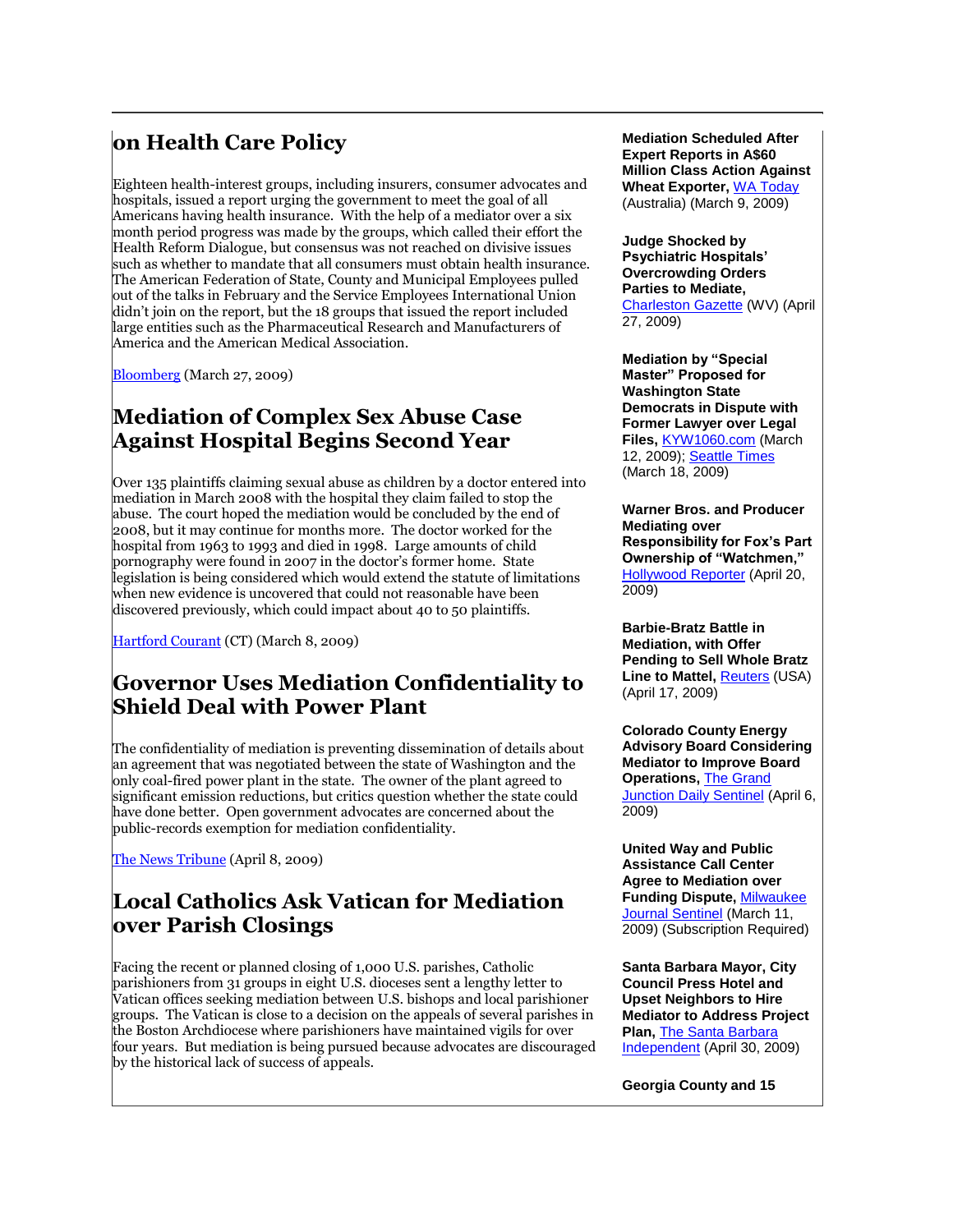## **on Health Care Policy**

Eighteen health-interest groups, including insurers, consumer advocates and hospitals, issued a report urging the government to meet the goal of all Americans having health insurance. With the help of a mediator over a six month period progress was made by the groups, which called their effort the Health Reform Dialogue, but consensus was not reached on divisive issues such as whether to mandate that all consumers must obtain health insurance. The American Federation of State, County and Municipal Employees pulled out of the talks in February and the Service Employees International Union didn't join on the report, but the 18 groups that issued the report included large entities such as the Pharmaceutical Research and Manufacturers of America and the American Medical Association.

[Bloomberg](http://www.bloomberg.com/apps/news?pid=20601087&sid=anfJzBaR2JTg&refer=home) (March 27, 2009)

## **Mediation of Complex Sex Abuse Case Against Hospital Begins Second Year**

Over 135 plaintiffs claiming sexual abuse as children by a doctor entered into mediation in March 2008 with the hospital they claim failed to stop the abuse. The court hoped the mediation would be concluded by the end of 2008, but it may continue for months more. The doctor worked for the hospital from 1963 to 1993 and died in 1998. Large amounts of child pornography were found in 2007 in the doctor's former home. State legislation is being considered which would extend the statute of limitations when new evidence is uncovered that could not reasonable have been discovered previously, which could impact about 40 to 50 plaintiffs.

[Hartford Courant](http://www.courant.com/news/health/hc-secondlook0308.artmar08,0,3044877,print.story) (CT) (March 8, 2009)

#### **Governor Uses Mediation Confidentiality to Shield Deal with Power Plant**

The confidentiality of mediation is preventing dissemination of details about an agreement that was negotiated between the state of Washington and the only coal-fired power plant in the state. The owner of the plant agreed to significant emission reductions, but critics question whether the state could have done better. Open government advocates are concerned about the public-records exemption for mediation confidentiality.

[The News Tribune](http://www.thenewstribune.com/opinion/editorials/v-printerfriendly/story/704034.html) (April 8, 2009)

### **Local Catholics Ask Vatican for Mediation over Parish Closings**

Facing the recent or planned closing of 1,000 U.S. parishes, Catholic parishioners from 31 groups in eight U.S. dioceses sent a lengthy letter to Vatican offices seeking mediation between U.S. bishops and local parishioner groups. The Vatican is close to a decision on the appeals of several parishes in the Boston Archdiocese where parishioners have maintained vigils for over four years. But mediation is being pursued because advocates are discouraged by the historical lack of success of appeals.

**Mediation Scheduled After Expert Reports in A\$60 Million Class Action Against Wheat Exporter,** [WA Today](http://business.watoday.com.au/business/expanded-awb-case-heads-to-mediation-20090309-8tc3.html) (Australia) (March 9, 2009)

**Judge Shocked by Psychiatric Hospitals' Overcrowding Orders Parties to Mediate,** 

[Charleston Gazette](http://wvgazette.com/feeds/politics.xml) (WV) (April 27, 2009)

**Mediation by "Special Master" Proposed for Washington State Democrats in Dispute with Former Lawyer over Legal Files,** [KYW1060.com](http://www.kyw1060.com/pages/4016407.php) (March 12, 2009); [Seattle Times](http://tinyurl.com/dhta8c) (March 18, 2009)

**Warner Bros. and Producer Mediating over Responsibility for Fox's Part Ownership of "Watchmen,"**  [Hollywood Reporter](http://tinyurl.com/c5ookz) (April 20, 2009)

**Barbie-Bratz Battle in Mediation, with Offer Pending to Sell Whole Bratz Line to Mattel,** *[Reuters](http://www.reuters.com/article/ousiv/idUSTRE53G5IX20090417)* (USA) (April 17, 2009)

**Colorado County Energy Advisory Board Considering Mediator to Improve Board Operations,** [The Grand](http://tinyurl.com/ctjoaf)  [Junction Daily Sentinel](http://tinyurl.com/ctjoaf) (April 6, 2009)

**United Way and Public Assistance Call Center Agree to Mediation over Funding Dispute,** [Milwaukee](http://tinyurl.com/dx2spl)  [Journal Sentinel](http://tinyurl.com/dx2spl) (March 11, 2009) (Subscription Required)

**Santa Barbara Mayor, City Council Press Hotel and Upset Neighbors to Hire Mediator to Address Project Plan,** [The Santa Barbara](http://tinyurl.com/oqxpun)  [Independent](http://tinyurl.com/oqxpun) (April 30, 2009)

**Georgia County and 15**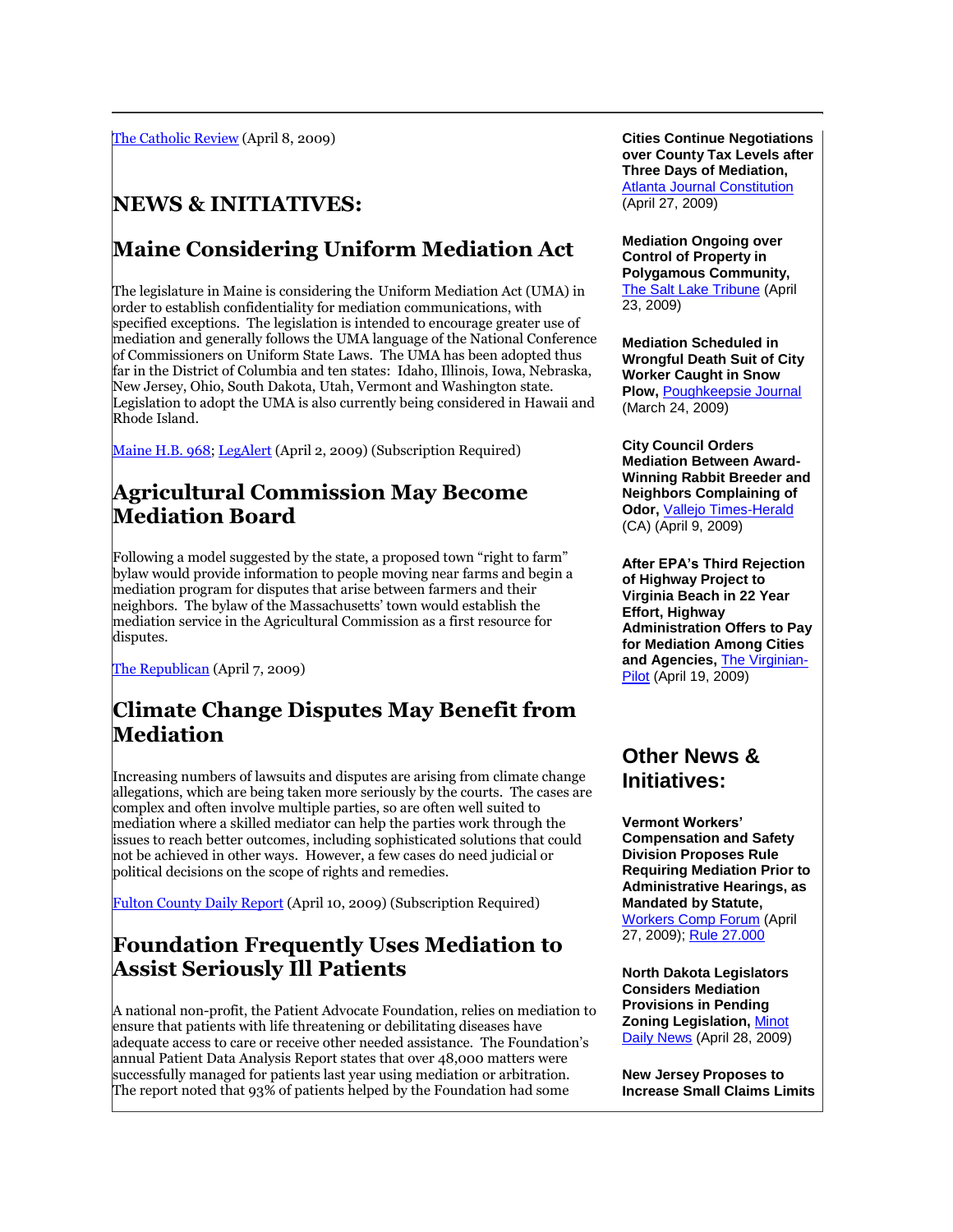[The Catholic Review](http://www.catholicreview.org/subpages/storyworldnew-new.aspx?action=5983) (April 8, 2009)

## **NEWS & INITIATIVES:**

## **Maine Considering Uniform Mediation Act**

The legislature in Maine is considering the Uniform Mediation Act (UMA) in order to establish confidentiality for mediation communications, with specified exceptions. The legislation is intended to encourage greater use of mediation and generally follows the UMA language of the National Conference of Commissioners on Uniform State Laws. The UMA has been adopted thus far in the District of Columbia and ten states: Idaho, Illinois, Iowa, Nebraska, New Jersey, Ohio, South Dakota, Utah, Vermont and Washington state. Legislation to adopt the UMA is also currently being considered in Hawaii and Rhode Island.

[Maine H.B. 968;](http://www.mainelegislature.org/legis/bills/display_ps.asp?LD=1378&snum=124) [LegAlert](http://tinyurl.com/cu7fsh) (April 2, 2009) (Subscription Required)

## **Agricultural Commission May Become Mediation Board**

Following a model suggested by the state, a proposed town "right to farm" bylaw would provide information to people moving near farms and begin a mediation program for disputes that arise between farmers and their neighbors. The bylaw of the Massachusetts' town would establish the mediation service in the Agricultural Commission as a first resource for disputes.

[The Republican](http://tinyurl.com/d8fbvv) (April 7, 2009)

## **Climate Change Disputes May Benefit from Mediation**

Increasing numbers of lawsuits and disputes are arising from climate change allegations, which are being taken more seriously by the courts. The cases are complex and often involve multiple parties, so are often well suited to mediation where a skilled mediator can help the parties work through the issues to reach better outcomes, including sophisticated solutions that could not be achieved in other ways. However, a few cases do need judicial or political decisions on the scope of rights and remedies.

[Fulton County Daily Report](http://tinyurl.com/dywpcq) (April 10, 2009) (Subscription Required)

### **Foundation Frequently Uses Mediation to Assist Seriously Ill Patients**

A national non-profit, the Patient Advocate Foundation, relies on mediation to ensure that patients with life threatening or debilitating diseases have adequate access to care or receive other needed assistance. The Foundation's annual Patient Data Analysis Report states that over 48,000 matters were successfully managed for patients last year using mediation or arbitration. The report noted that 93% of patients helped by the Foundation had some

**Cities Continue Negotiations over County Tax Levels after Three Days of Mediation,**  [Atlanta Journal Constitution](http://tinyurl.com/ol676x) (April 27, 2009)

**Mediation Ongoing over Control of Property in Polygamous Community, [The Salt Lake Tribune](http://www.sltrib.com/news/ci_12205223) (April** 23, 2009)

**Mediation Scheduled in Wrongful Death Suit of City Worker Caught in Snow Plow,** [Poughkeepsie Journal](http://tinyurl.com/c9pgd2) (March 24, 2009)

**City Council Orders Mediation Between Award-Winning Rabbit Breeder and Neighbors Complaining of Odor,** [Vallejo Times-Herald](http://www.timesheraldonline.com/news/ci_12105435) (CA) (April 9, 2009)

**After EPA's Third Rejection of Highway Project to Virginia Beach in 22 Year Effort, Highway Administration Offers to Pay for Mediation Among Cities and Agencies,** [The Virginian-](http://hamptonroads.com/2009/04/feds-void-environmental-impact-plan-toll-road)[Pilot](http://hamptonroads.com/2009/04/feds-void-environmental-impact-plan-toll-road) (April 19, 2009)

#### **Other News & Initiatives:**

**Vermont Workers' Compensation and Safety Division Proposes Rule Requiring Mediation Prior to Administrative Hearings, as Mandated by Statute,** [Workers Comp Forum](http://www.riskandinsurance.com/story.jsp?storyId=204105504) (April

27, 2009); [Rule 27.000](http://159.105.83.167/Portals/0/WP%20Safety/Text%20of%20Mediation%20Rule%20Proposed%20Rule.pdf)

**North Dakota Legislators Considers Mediation Provisions in Pending Zoning Legislation,** [Minot](http://www.minotdailynews.com/favicon.ico)  [Daily News](http://www.minotdailynews.com/favicon.ico) (April 28, 2009)

**New Jersey Proposes to Increase Small Claims Limits**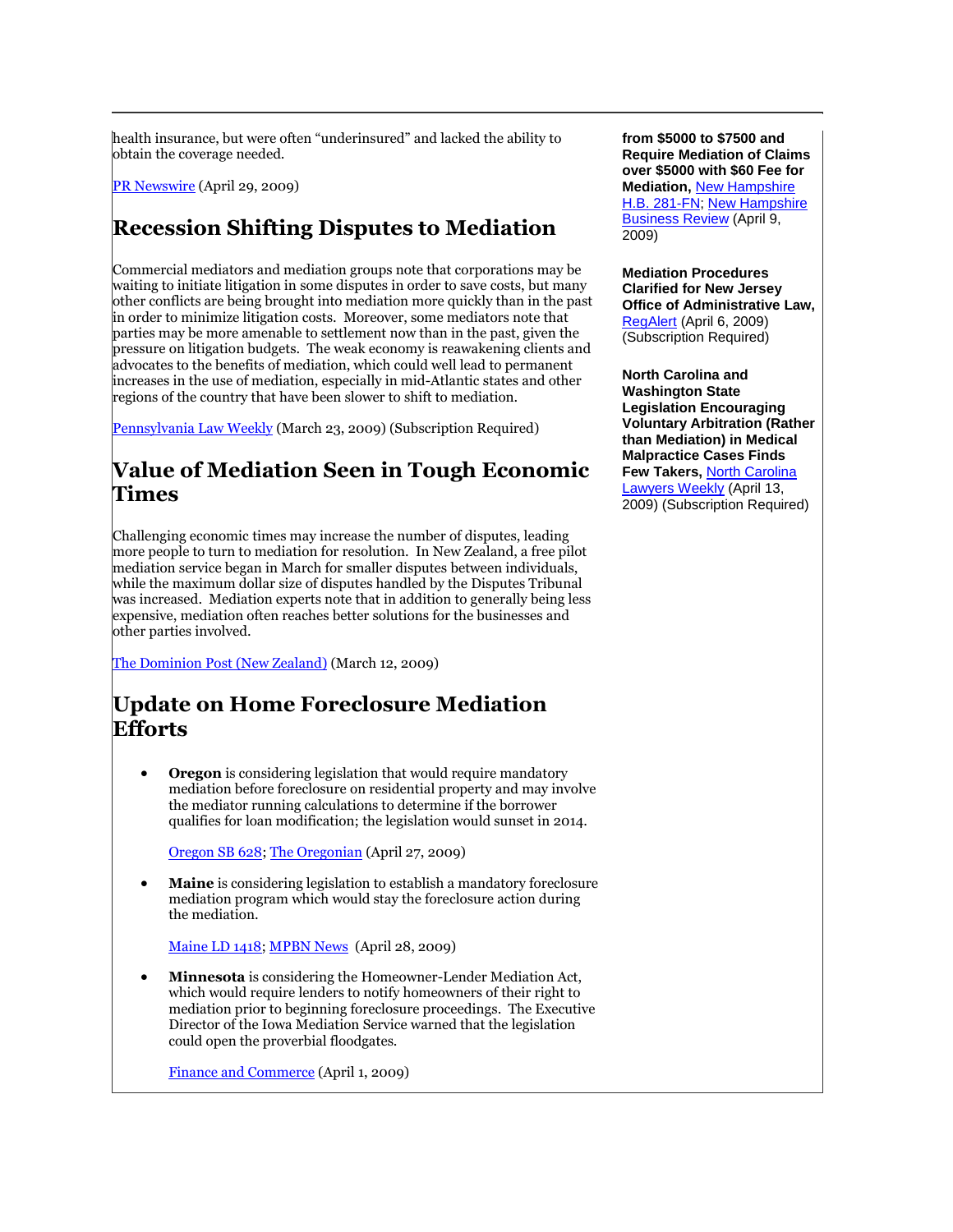health insurance, but were often "underinsured" and lacked the ability to obtain the coverage needed.

[PR Newswire](http://tinyurl.com/qwu5ap) (April 29, 2009)

## **Recession Shifting Disputes to Mediation**

Commercial mediators and mediation groups note that corporations may be waiting to initiate litigation in some disputes in order to save costs, but many other conflicts are being brought into mediation more quickly than in the past in order to minimize litigation costs. Moreover, some mediators note that parties may be more amenable to settlement now than in the past, given the pressure on litigation budgets. The weak economy is reawakening clients and advocates to the benefits of mediation, which could well lead to permanent increases in the use of mediation, especially in mid-Atlantic states and other regions of the country that have been slower to shift to mediation.

[Pennsylvania Law Weekly](http://tinyurl.com/dfdunr) (March 23, 2009) (Subscription Required)

## **Value of Mediation Seen in Tough Economic Times**

Challenging economic times may increase the number of disputes, leading more people to turn to mediation for resolution. In New Zealand, a free pilot mediation service began in March for smaller disputes between individuals, while the maximum dollar size of disputes handled by the Disputes Tribunal was increased. Mediation experts note that in addition to generally being less expensive, mediation often reaches better solutions for the businesses and other parties involved.

[The Dominion Post \(New Zealand\)](http://www.stuff.co.nz/dominion-post/business/2253216/Benefits-of-agreeing-to-disagree) (March 12, 2009)

## **Update on Home Foreclosure Mediation Efforts**

 **Oregon** is considering legislation that would require mandatory mediation before foreclosure on residential property and may involve the mediator running calculations to determine if the borrower qualifies for loan modification; the legislation would sunset in 2014.

[Oregon SB 628;](http://www.leg.state.or.us/09reg/measpdf/sb0600.dir/sb0628.intro.pdf) [The Oregonian](http://www.oregonlive.com/business/index.ssf/atom.xml) (April 27, 2009)

 **Maine** is considering legislation to establish a mandatory foreclosure mediation program which would stay the foreclosure action during the mediation.

[Maine LD 1418;](http://www.mainelegislature.org/legis/bills/bills_124th/billpdfs/HP099401.pdf) [MPBN News](http://www.mpbn.net/News/MaineNews/tabid/181/ctl/ViewItem/mid/1858/ItemId/10282/Default.aspx) (April 28, 2009)

 **Minnesota** is considering the Homeowner-Lender Mediation Act, which would require lenders to notify homeowners of their right to mediation prior to beginning foreclosure proceedings. The Executive Director of the Iowa Mediation Service warned that the legislation could open the proverbial floodgates.

[Finance and Commerce](http://www.finance-commerce.com/favicon.ico) (April 1, 2009)

**from \$5000 to \$7500 and Require Mediation of Claims over \$5000 with \$60 Fee for Mediation,** [New Hampshire](http://www.gencourt.state.nh.us/legislation/2009/HB0281.html)  [H.B. 281-FN;](http://www.gencourt.state.nh.us/legislation/2009/HB0281.html) [New Hampshire](http://nhbr.com/apps/pbcs.dll/article?AID=/20090409/NEWS06/904089929/-1/NEWS)  [Business Review](http://nhbr.com/apps/pbcs.dll/article?AID=/20090409/NEWS06/904089929/-1/NEWS) (April 9, 2009)

**Mediation Procedures Clarified for New Jersey Office of Administrative Law,** [RegAlert](http://tinyurl.com/cfbfdb) (April 6, 2009) (Subscription Required)

**North Carolina and Washington State Legislation Encouraging Voluntary Arbitration (Rather than Mediation) in Medical Malpractice Cases Finds Few Takers,** [North Carolina](http://tinyurl.com/cnplf7)  [Lawyers Weekly](http://tinyurl.com/cnplf7) (April 13, 2009) (Subscription Required)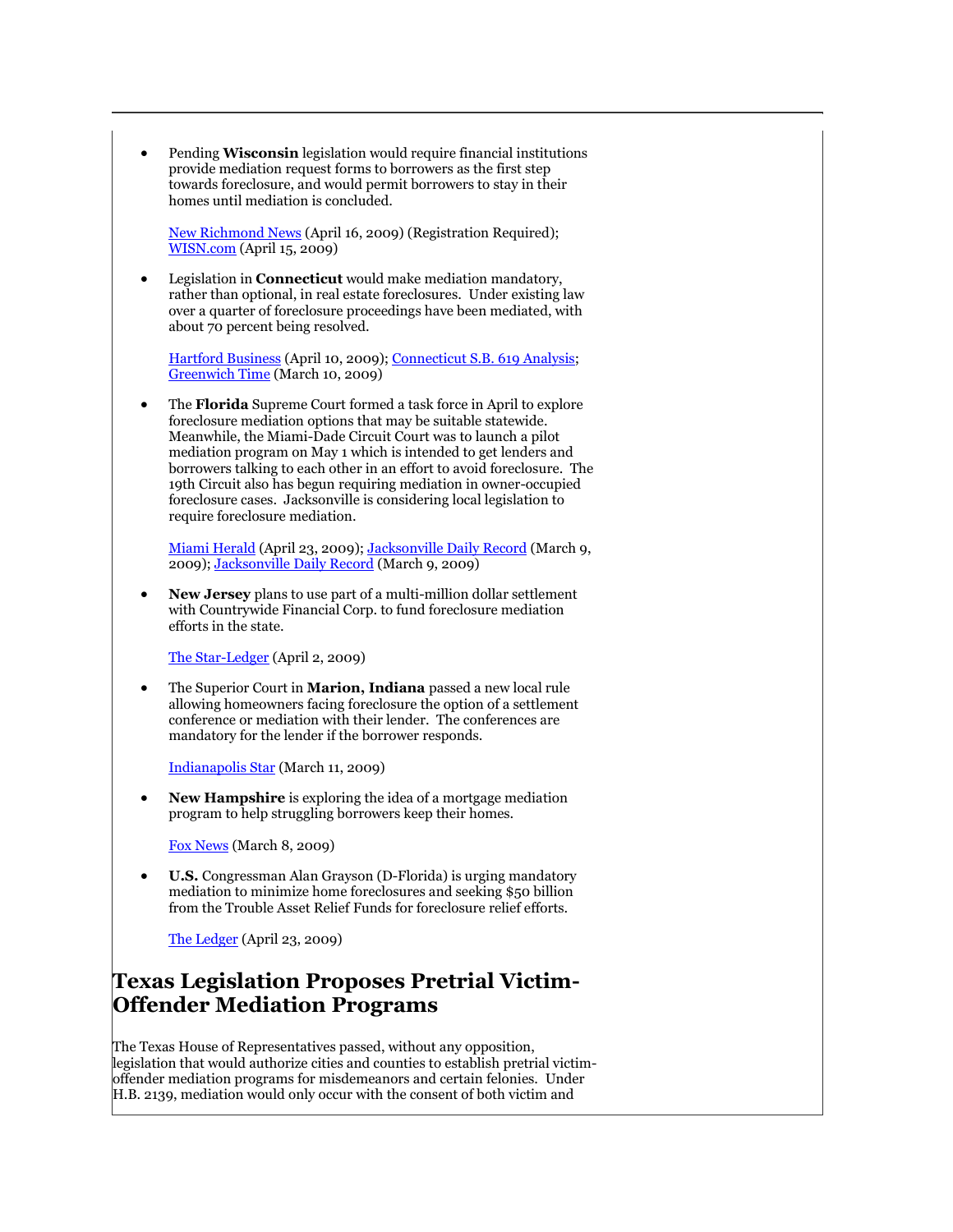Pending **Wisconsin** legislation would require financial institutions provide mediation request forms to borrowers as the first step towards foreclosure, and would permit borrowers to stay in their homes until mediation is concluded.

[New Richmond News](http://tinyurl.com/cbqtcd) (April 16, 2009) (Registration Required); [WISN.com](http://www.wrn.com/gestalt/go.cfm?objectid=A6A5A0E5-5056-B82A-379277E3682DE4A1) (April 15, 2009)

 Legislation in **Connecticut** would make mediation mandatory, rather than optional, in real estate foreclosures. Under existing law over a quarter of foreclosure proceedings have been mediated, with about 70 percent being resolved.

[Hartford Business](http://www.hartfordbusiness.com/news8575.html) (April 10, 2009); [Connecticut S.B. 619 Analysis;](http://www.cga.ct.gov/2009/BA/2009SB-00619-R000183-BA.htm) [Greenwich Time](http://www.greenwichtime.com/ci_11880068) (March 10, 2009)

 The **Florida** Supreme Court formed a task force in April to explore foreclosure mediation options that may be suitable statewide. Meanwhile, the Miami-Dade Circuit Court was to launch a pilot mediation program on May 1 which is intended to get lenders and borrowers talking to each other in an effort to avoid foreclosure. The 19th Circuit also has begun requiring mediation in owner-occupied foreclosure cases. Jacksonville is considering local legislation to require foreclosure mediation.

[Miami Herald](http://www.miamiherald.com/business/v-print/story/1013005.html) (April 23, 2009)[; Jacksonville Daily Record](http://www.jaxdailyrecord.com/showstory.php?Story_id=51961) (March 9, 2009); [Jacksonville Daily Record](http://www.jaxdailyrecord.com/showstory.php?Story_id=51952) (March 9, 2009)

 **New Jersey** plans to use part of a multi-million dollar settlement with Countrywide Financial Corp. to fund foreclosure mediation efforts in the state.

[The Star-Ledger](http://tinyurl.com/d2shjz) (April 2, 2009)

 The Superior Court in **Marion, Indiana** passed a new local rule allowing homeowners facing foreclosure the option of a settlement conference or mediation with their lender. The conferences are mandatory for the lender if the borrower responds.

[Indianapolis Star](http://www.indystar.com/article/20090311/BUSINESS/903110333) (March 11, 2009)

 **New Hampshire** is exploring the idea of a mortgage mediation program to help struggling borrowers keep their homes.

[Fox News](http://www.fox44.net/Global/story.asp?S=9967629) (March 8, 2009)

 **U.S.** Congressman Alan Grayson (D-Florida) is urging mandatory mediation to minimize home foreclosures and seeking \$50 billion from the Trouble Asset Relief Funds for foreclosure relief efforts.

[The Ledger](http://tinyurl.com/d8zktf) (April 23, 2009)

### **Texas Legislation Proposes Pretrial Victim-Offender Mediation Programs**

The Texas House of Representatives passed, without any opposition, legislation that would authorize cities and counties to establish pretrial victimoffender mediation programs for misdemeanors and certain felonies. Under H.B. 2139, mediation would only occur with the consent of both victim and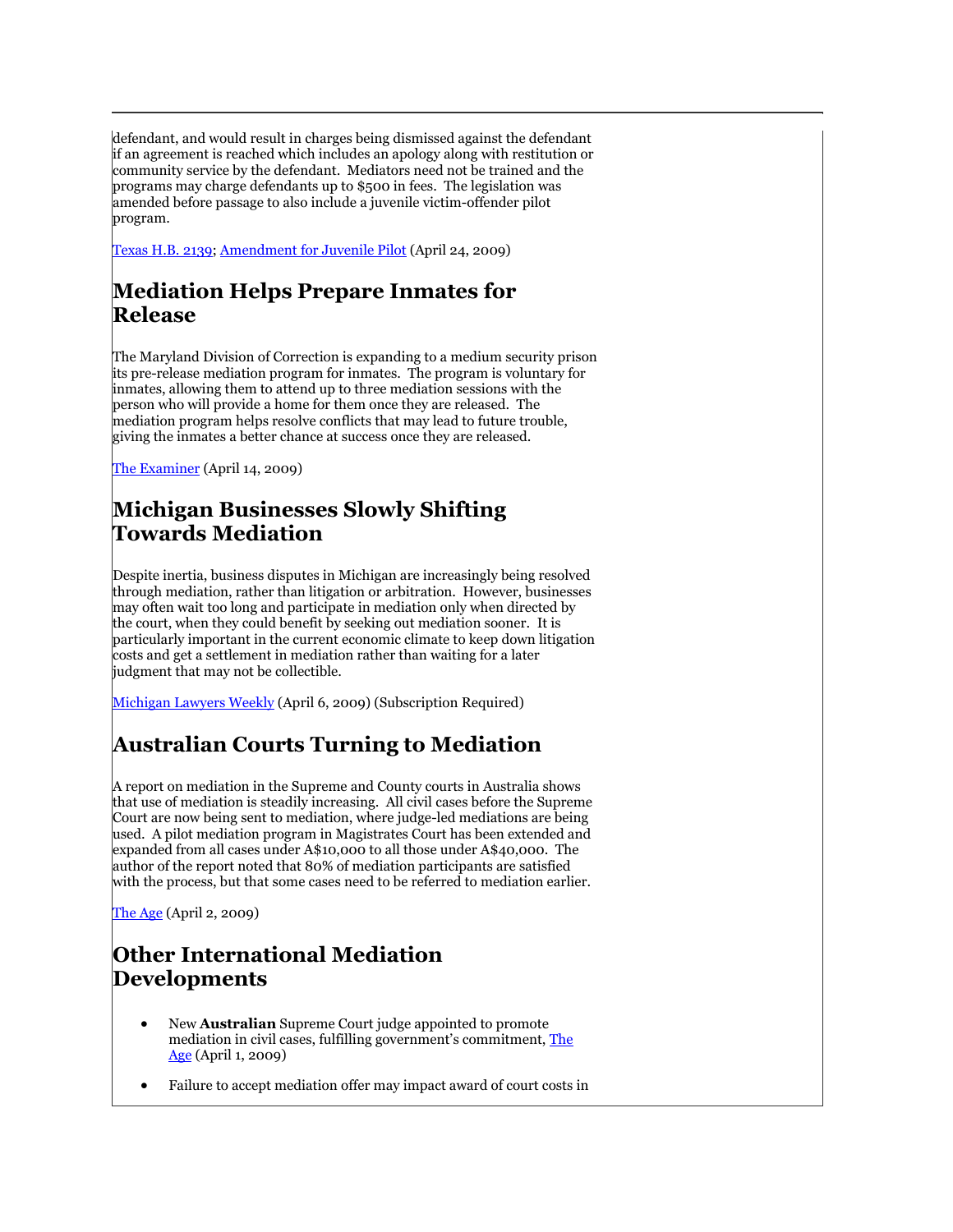defendant, and would result in charges being dismissed against the defendant if an agreement is reached which includes an apology along with restitution or community service by the defendant. Mediators need not be trained and the programs may charge defendants up to \$500 in fees. The legislation was amended before passage to also include a juvenile victim-offender pilot program.

[Texas H.B. 2139;](http://www.legis.state.tx.us/tlodocs/81R/billtext/doc/HB02139I.doc) [Amendment for Juvenile Pilot](http://www.journals.house.state.tx.us/hjrnl/81r/pdf/81RDAY56FINAL.PDF#page=32) (April 24, 2009)

## **Mediation Helps Prepare Inmates for Release**

The Maryland Division of Correction is expanding to a medium security prison its pre-release mediation program for inmates. The program is voluntary for inmates, allowing them to attend up to three mediation sessions with the person who will provide a home for them once they are released. The mediation program helps resolve conflicts that may lead to future trouble, giving the inmates a better chance at success once they are released.

[The Examiner](http://www.examiner.com/favicon.ico) (April 14, 2009)

## **Michigan Businesses Slowly Shifting Towards Mediation**

Despite inertia, business disputes in Michigan are increasingly being resolved through mediation, rather than litigation or arbitration. However, businesses may often wait too long and participate in mediation only when directed by the court, when they could benefit by seeking out mediation sooner. It is particularly important in the current economic climate to keep down litigation costs and get a settlement in mediation rather than waiting for a later judgment that may not be collectible.

[Michigan Lawyers Weekly](http://tinyurl.com/dywpcq) (April 6, 2009) (Subscription Required)

## **Australian Courts Turning to Mediation**

A report on mediation in the Supreme and County courts in Australia shows that use of mediation is steadily increasing. All civil cases before the Supreme Court are now being sent to mediation, where judge-led mediations are being used. A pilot mediation program in Magistrates Court has been extended and expanded from all cases under A\$10,000 to all those under A\$40,000. The author of the report noted that 80% of mediation participants are satisfied with the process, but that some cases need to be referred to mediation earlier.

[The Age](http://tinyurl.com/dnn783) (April 2, 2009)

### **Other International Mediation Developments**

- New **Australian** Supreme Court judge appointed to promote mediation in civil cases, fulfilling government's commitment, [The](http://www.theage.com.au/favicon.ico)  [Age](http://www.theage.com.au/favicon.ico) (April 1, 2009)
- Failure to accept mediation offer may impact award of court costs in